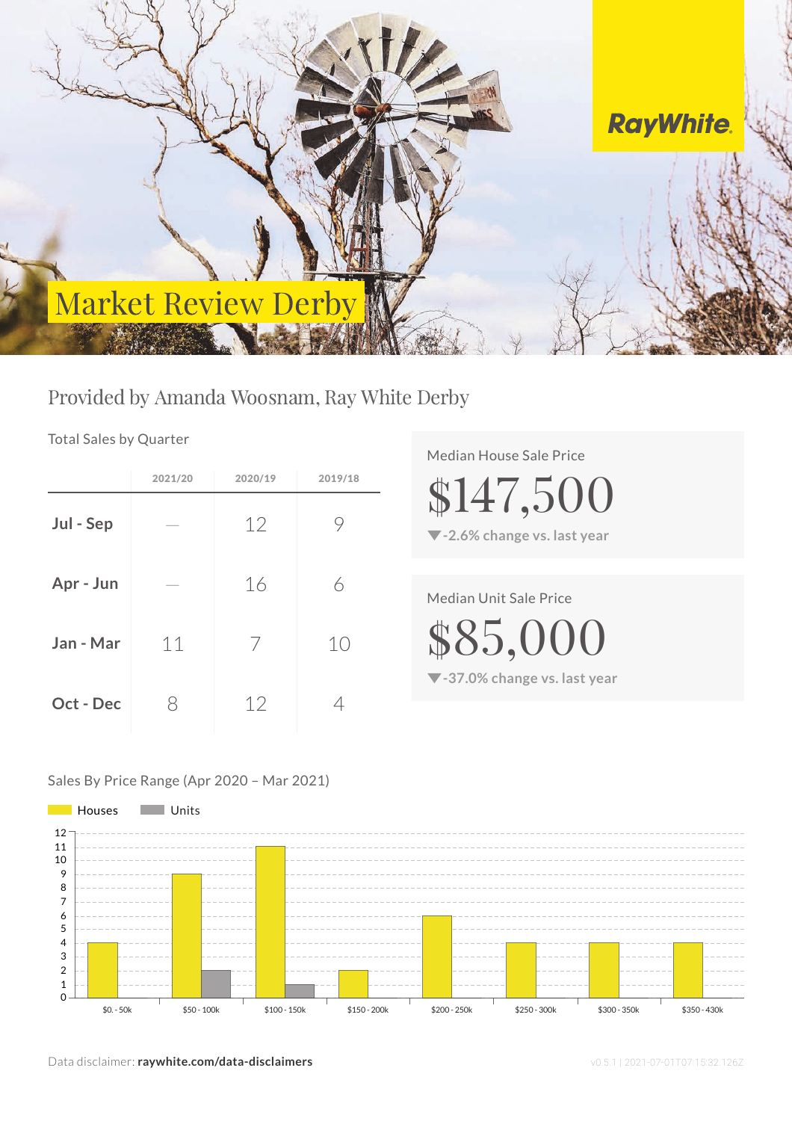

## Provided by Amanda Woosnam, Ray White Derby

Total Sales by Quarter

|           | 2021/20 | 2020/19 | 2019/18 |
|-----------|---------|---------|---------|
| Jul - Sep |         | 12      | 9       |
| Apr - Jun |         | 16      | 6       |
| Jan - Mar | 11      | 7       | 10      |
| Oct - Dec | X       | 12      |         |

Median House Sale Price

**-2.6% change vs. last year**

\$147,500

Median Unit Sale Price

\$85,000

**-37.0% change vs. last year**

### Sales By Price Range (Apr 2020 – Mar 2021)